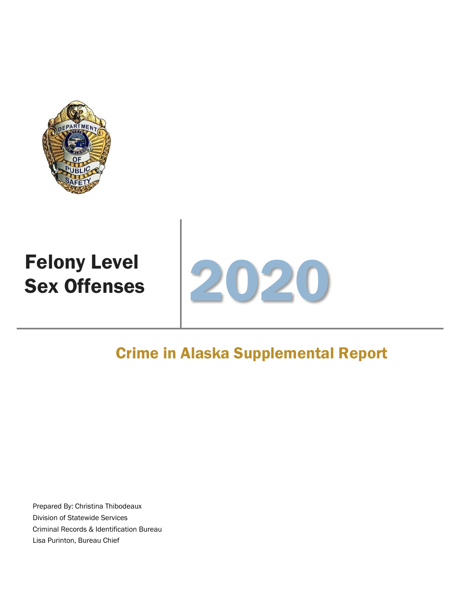

# Felony Level



### Crime in Alaska Supplemental Report

Prepared By: Christina Thibodeaux Division of Statewide Services Criminal Records & Identification Bureau Lisa Purinton, Bureau Chief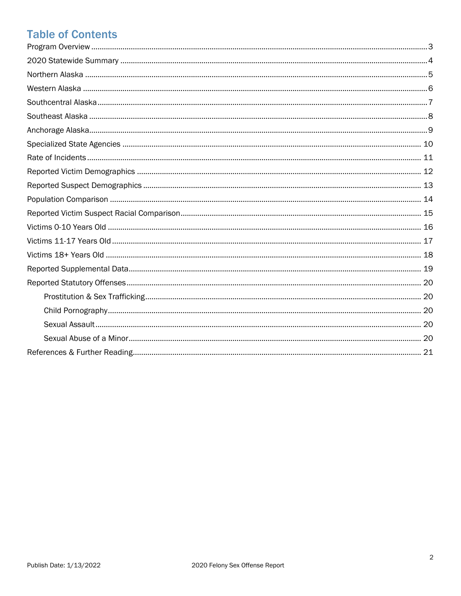### **Table of Contents**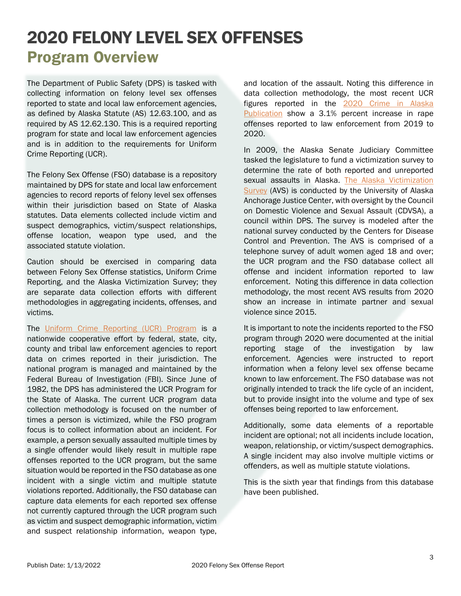### 2020 FELONY LEVEL SEX OFFENSES Program Overview

<span id="page-2-0"></span>The Department of Public Safety (DPS) is tasked with collecting information on felony level sex offenses reported to state and local law enforcement agencies, as defined by Alaska Statute (AS) 12.63.100, and as required by AS 12.62.130. This is a required reporting program for state and local law enforcement agencies and is in addition to the requirements for Uniform Crime Reporting (UCR).

The Felony Sex Offense (FSO) database is a repository maintained by DPS for state and local law enforcement agencies to record reports of felony level sex offenses within their jurisdiction based on State of Alaska statutes. Data elements collected include victim and suspect demographics, victim/suspect relationships, offense location, weapon type used, and the associated statute violation.

Caution should be exercised in comparing data between Felony Sex Offense statistics, Uniform Crime Reporting, and the Alaska Victimization Survey; they are separate data collection efforts with different methodologies in aggregating incidents, offenses, and victims.

The [Uniform Crime Reporting \(UCR\) Program](https://www.fbi.gov/services/cjis/ucr) is a nationwide cooperative effort by federal, state, city, county and tribal law enforcement agencies to report data on crimes reported in their jurisdiction. The national program is managed and maintained by the Federal Bureau of Investigation (FBI). Since June of 1982, the DPS has administered the UCR Program for the State of Alaska. The current UCR program data collection methodology is focused on the number of times a person is victimized, while the FSO program focus is to collect information about an incident. For example, a person sexually assaulted multiple times by a single offender would likely result in multiple rape offenses reported to the UCR program, but the same situation would be reported in the FSO database as one incident with a single victim and multiple statute violations reported. Additionally, the FSO database can capture data elements for each reported sex offense not currently captured through the UCR program such as victim and suspect demographic information, victim and suspect relationship information, weapon type, and location of the assault. Noting this difference in data collection methodology, the most recent UCR figures reported in the 2020 Crime in Alaska [Publication](https://dps.alaska.gov/Statewide/R-I/UCR) show a 3.1% percent increase in rape offenses reported to law enforcement from 2019 to 2020.

In 2009, the Alaska Senate Judiciary Committee tasked the legislature to fund a victimization survey to determine the rate of both reported and unreported sexual assaults in Alaska. [The Alaska Victimization](https://www.uaa.alaska.edu/academics/college-of-health/departments/justice-center/research/alaska-victimization-survey/)  [Survey](https://www.uaa.alaska.edu/academics/college-of-health/departments/justice-center/research/alaska-victimization-survey/) (AVS) is conducted by the University of Alaska Anchorage Justice Center, with oversight by the Council on Domestic Violence and Sexual Assault (CDVSA), a council within DPS. The survey is modeled after the national survey conducted by the Centers for Disease Control and Prevention. The AVS is comprised of a telephone survey of adult women aged 18 and over; the UCR program and the FSO database collect all offense and incident information reported to law enforcement. Noting this difference in data collection methodology, the most recent AVS results from 2020 show an increase in intimate partner and sexual violence since 2015.

It is important to note the incidents reported to the FSO program through 2020 were documented at the initial reporting stage of the investigation by law enforcement. Agencies were instructed to report information when a felony level sex offense became known to law enforcement. The FSO database was not originally intended to track the life cycle of an incident, but to provide insight into the volume and type of sex offenses being reported to law enforcement.

Additionally, some data elements of a reportable incident are optional; not all incidents include location, weapon, relationship, or victim/suspect demographics. A single incident may also involve multiple victims or offenders, as well as multiple statute violations.

This is the sixth year that findings from this database have been published.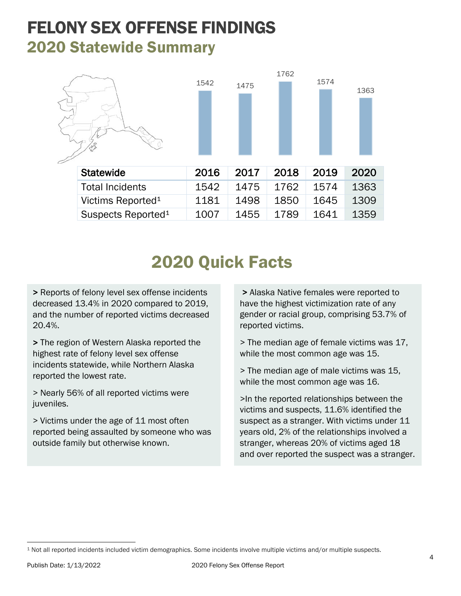### <span id="page-3-0"></span>FELONY SEX OFFENSE FINDINGS 2020 Statewide Summary



# 2020 Quick Facts

> Reports of felony level sex offense incidents decreased 13.4% in 2020 compared to 2019, and the number of reported victims decreased 20.4%.

> The region of Western Alaska reported the highest rate of felony level sex offense incidents statewide, while Northern Alaska reported the lowest rate.

> Nearly 56% of all reported victims were juveniles.

> Victims under the age of 11 most often reported being assaulted by someone who was outside family but otherwise known.

> Alaska Native females were reported to have the highest victimization rate of any gender or racial group, comprising 53.7% of reported victims.

> The median age of female victims was 17, while the most common age was 15.

> The median age of male victims was 15, while the most common age was 16.

>In the reported relationships between the victims and suspects, 11.6% identified the suspect as a stranger. With victims under 11 years old, 2% of the relationships involved a stranger, whereas 20% of victims aged 18 and over reported the suspect was a stranger.

<span id="page-3-1"></span><sup>1</sup> Not all reported incidents included victim demographics. Some incidents involve multiple victims and/or multiple suspects.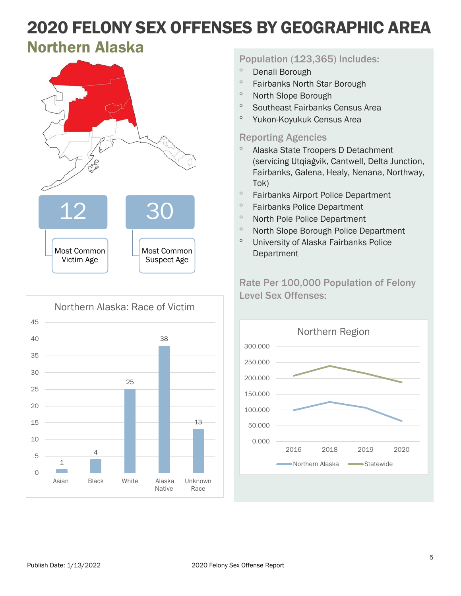### <span id="page-4-0"></span>Northern Alaska





#### Population (123,365) Includes:

- ° Denali Borough
- ° Fairbanks North Star Borough
- ° North Slope Borough
- ° Southeast Fairbanks Census Area
- ° Yukon-Koyukuk Census Area

#### Reporting Agencies

- ° Alaska State Troopers D Detachment (servicing Utqiaġvik, Cantwell, Delta Junction, Fairbanks, Galena, Healy, Nenana, Northway, Tok)
- ° Fairbanks Airport Police Department
- ° Fairbanks Police Department
- ° North Pole Police Department
- ° North Slope Borough Police Department
- ° University of Alaska Fairbanks Police Department

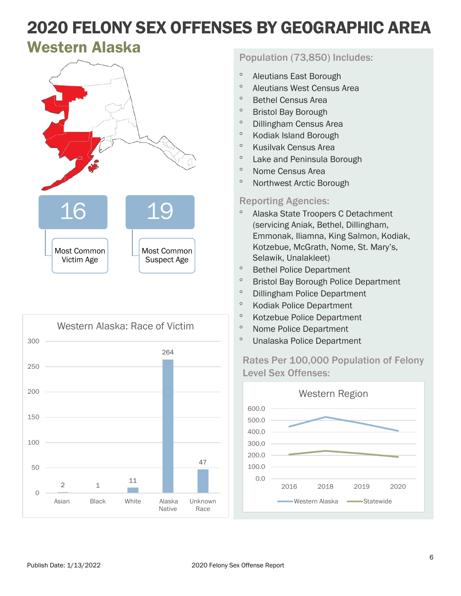### <span id="page-5-0"></span>Western Alaska





#### Population (73,850) Includes:

- ° Aleutians East Borough
- ° Aleutians West Census Area
- ° Bethel Census Area
- ° Bristol Bay Borough
- ° Dillingham Census Area
- ° Kodiak Island Borough
- ° Kusilvak Census Area
- ° Lake and Peninsula Borough
- ° Nome Census Area
- ° Northwest Arctic Borough

#### Reporting Agencies:

- ° Alaska State Troopers C Detachment (servicing Aniak, Bethel, Dillingham, Emmonak, Iliamna, King Salmon, Kodiak, Kotzebue, McGrath, Nome, St. Mary's, Selawik, Unalakleet)
- ° Bethel Police Department
- ° Bristol Bay Borough Police Department
- ° Dillingham Police Department
- ° Kodiak Police Department
- ° Kotzebue Police Department
- ° Nome Police Department
- ° Unalaska Police Department

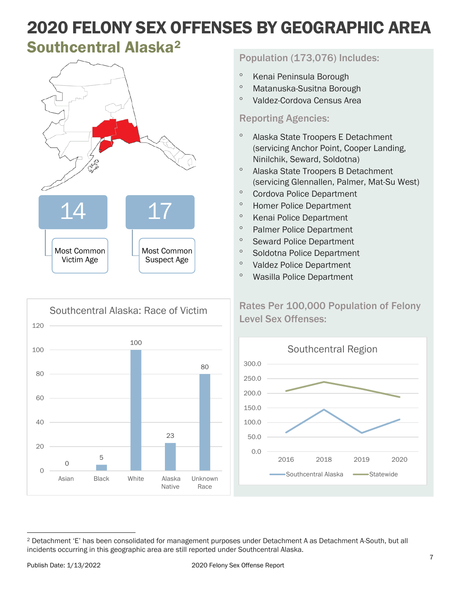### <span id="page-6-0"></span>Southcentral Alaska[2](#page-6-1)





#### Population (173,076) Includes:

- ° Kenai Peninsula Borough
- ° Matanuska-Susitna Borough
- ° Valdez-Cordova Census Area

#### Reporting Agencies:

- ° Alaska State Troopers E Detachment (servicing Anchor Point, Cooper Landing, Ninilchik, Seward, Soldotna)
- ° Alaska State Troopers B Detachment (servicing Glennallen, Palmer, Mat-Su West)
- ° Cordova Police Department
- ° Homer Police Department
- ° Kenai Police Department
- ° Palmer Police Department
- ° Seward Police Department
- ° Soldotna Police Department
- ° Valdez Police Department
- ° Wasilla Police Department



<span id="page-6-1"></span><sup>2</sup> Detachment 'E' has been consolidated for management purposes under Detachment A as Detachment A-South, but all incidents occurring in this geographic area are still reported under Southcentral Alaska.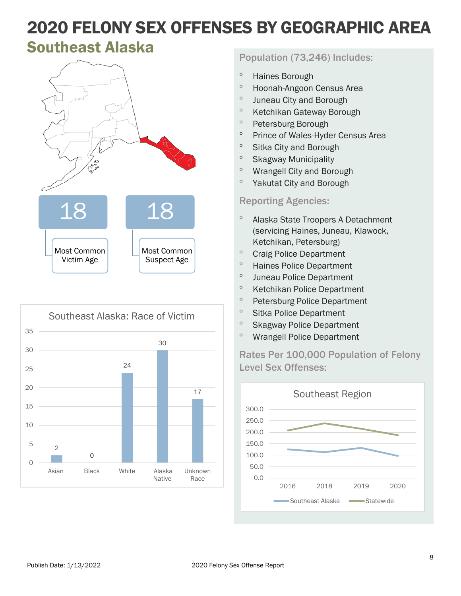### <span id="page-7-0"></span>Southeast Alaska





#### Population (73,246) Includes:

- ° Haines Borough
- ° Hoonah-Angoon Census Area
- ° Juneau City and Borough
- ° Ketchikan Gateway Borough
- ° Petersburg Borough
- ° Prince of Wales-Hyder Census Area
- ° Sitka City and Borough
- ° Skagway Municipality
- ° Wrangell City and Borough
- ° Yakutat City and Borough

#### Reporting Agencies:

- ° Alaska State Troopers A Detachment (servicing Haines, Juneau, Klawock, Ketchikan, Petersburg)
- ° Craig Police Department
- ° Haines Police Department
- ° Juneau Police Department
- ° Ketchikan Police Department
- ° Petersburg Police Department
- ° Sitka Police Department
- ° Skagway Police Department
- ° Wrangell Police Department

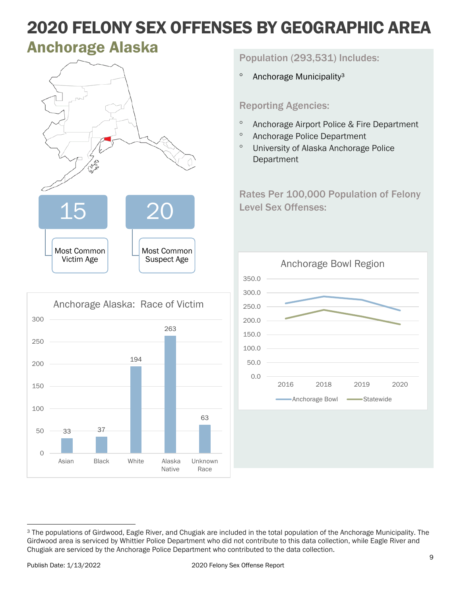### <span id="page-8-0"></span>**Anchorage Alaska**



|          |       | Anchorage Alaska: Race of Victim |       |                         |                 |
|----------|-------|----------------------------------|-------|-------------------------|-----------------|
| 300      |       |                                  |       | 263                     |                 |
| 250      |       |                                  |       |                         |                 |
|          |       |                                  |       |                         |                 |
| 200      |       |                                  | 194   |                         |                 |
| 150      |       |                                  |       |                         |                 |
| 100      |       |                                  |       |                         | 63              |
| 50       | 33    | 37                               |       |                         |                 |
| $\Omega$ | Asian | <b>Black</b>                     | White | Alaska<br><b>Native</b> | Unknown<br>Race |

Population (293,531) Includes:

<sup>o</sup> Anchorage Municipality<sup>3</sup>

#### Reporting Agencies:

- ° Anchorage Airport Police & Fire Department
- ° Anchorage Police Department
- ° University of Alaska Anchorage Police Department



<span id="page-8-1"></span><sup>3</sup> The populations of Girdwood, Eagle River, and Chugiak are included in the total population of the Anchorage Municipality. The Girdwood area is serviced by Whittier Police Department who did not contribute to this data collection, while Eagle River and Chugiak are serviced by the Anchorage Police Department who contributed to the data collection.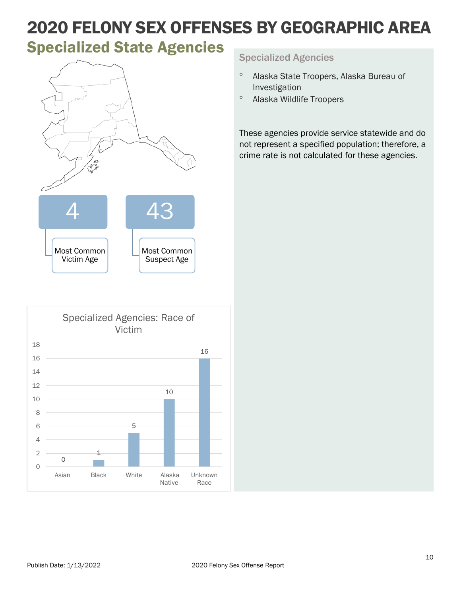# <span id="page-9-0"></span>**Specialized State Agencies** Specialized Agencies





- ° Alaska State Troopers, Alaska Bureau of Investigation
- ° Alaska Wildlife Troopers

These agencies provide service statewide and do not represent a specified population; therefore, a crime rate is not calculated for these agencies.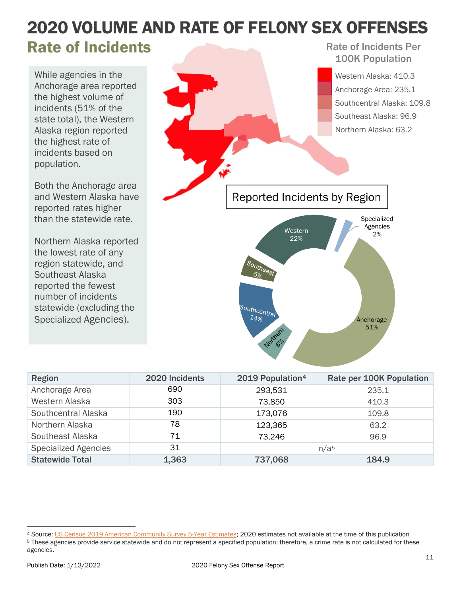#### <span id="page-10-0"></span>2020 VOLUME AND RATE OF FELONY SEX OFFENSES Rate of Incidents Rate of Incidents Per

While agencies in the Anchorage area reported the highest volume of incidents (51% of the state total), the Western Alaska region reported the highest rate of incidents based on population.

Both the Anchorage area and Western Alaska have reported rates higher than the statewide rate.

Northern Alaska reported the lowest rate of any region statewide, and Southeast Alaska reported the fewest number of incidents statewide (excluding the Specialized Agencies).

100K Population Western Alaska: 410.3 Anchorage Area: 235.1 Southcentral Alaska: 109.8 Southeast Alaska: 96.9 Northern Alaska: 63.2 Reported Incidents by Region Specialized Agencies Western 2% 22%Southcentral  $14\%$ Anchorage

| <b>Region</b>               | 2020 Incidents | 2019 Population <sup>4</sup> | Rate per 100K Population |
|-----------------------------|----------------|------------------------------|--------------------------|
| Anchorage Area              | 690            | 293,531                      | 235.1                    |
| Western Alaska              | 303            | 73,850                       | 410.3                    |
| Southcentral Alaska         | 190            | 173,076                      | 109.8                    |
| Northern Alaska             | 78             | 123,365                      | 63.2                     |
| Southeast Alaska            | 71             | 73,246                       | 96.9                     |
| <b>Specialized Agencies</b> | 31             | n/a <sub>5</sub>             |                          |
| <b>Statewide Total</b>      | 1,363          | 737,068                      | 184.9                    |

<span id="page-10-2"></span><sup>5</sup> These agencies provide service statewide and do not represent a specified population; therefore, a crime rate is not calculated for these agencies.

51%

<span id="page-10-1"></span><sup>4</sup> Source: [US Census 2019 American Community Survey 5-Year Estimates;](https://data.census.gov/cedsci/table?g=0400000US02&d=ACS%205-Year%20Estimates%20Data%20Profiles&tid=ACSDP5Y2019.DP05&hidePreview=true&tp=false) 2020 estimates not available at the time of this publication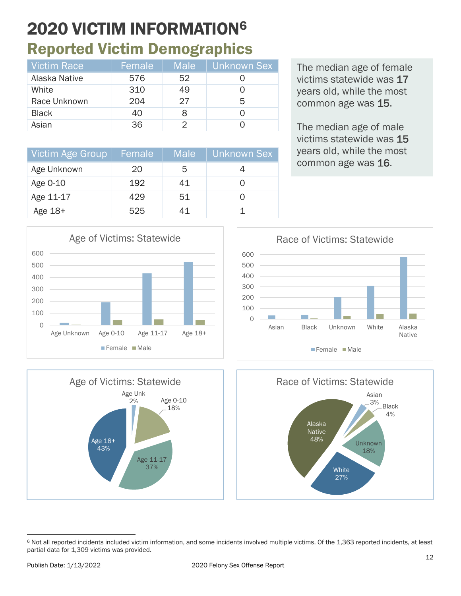# 2020 VICTIM INFORMATIO[N6](#page-11-1) Reported Victim Demographics

<span id="page-11-0"></span>

| Victim Race   | Female | <b>Male</b> | Unknown Sex |
|---------------|--------|-------------|-------------|
| Alaska Native | 576    | 52          |             |
| White         | 310    | 49          |             |
| Race Unknown  | 204    | 27          | 5           |
| <b>Black</b>  | 40     | 8           |             |
| Asian         | 36     |             |             |

Victim Age Group | Female | Male | Unknown Sex

Age Unknown  $\begin{array}{|c|c|c|c|c|c|} \hline \text{Age Unknown} & \text{20} & \text{5} & \text{4} \\\hline \end{array}$ Age 0-10 192 41 0 Age 11-17  $\begin{array}{|c|c|c|c|c|} \hline \end{array}$  429 51 0 The median age of female victims statewide was 17 years old, while the most common age was 15.

The median age of male victims statewide was 15 years old, while the most common age was 16.









<span id="page-11-1"></span><sup>6</sup> Not all reported incidents included victim information, and some incidents involved multiple victims. Of the 1,363 reported incidents, at least partial data for 1,309 victims was provided.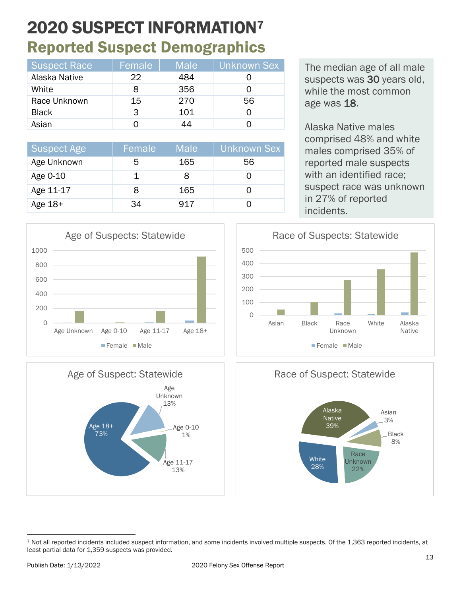# <span id="page-12-0"></span>2020 SUSPECT INFORMATIO[N7](#page-12-1) Reported Suspect Demographics

| <b>Suspect Race</b> | Female | <b>Male</b> | Unknown Sex |
|---------------------|--------|-------------|-------------|
| Alaska Native       | 22.    | 484         |             |
| White               |        | 356         |             |
| Race Unknown        | 15     | 270         | 56          |
| <b>Black</b>        | З      | 101         |             |
| Asian               |        | 14          |             |

| <b>Suspect Age</b> | Female | <b>Male</b> | Unknown Sex |
|--------------------|--------|-------------|-------------|
| Age Unknown        | .h     | 165         | 56          |
| Age 0-10           |        |             |             |
| Age 11-17          |        | 165         |             |
| Age 18+            | 34     | 917         |             |

The median age of all male suspects was 30 years old, while the most common age was 18.

Alaska Native males comprised 48% and white males comprised 35% of reported male suspects with an identified race; suspect race was unknown in 27% of reported incidents.





<span id="page-12-1"></span>

Native

 $\Omega$ 200 400 600 800 1000 Age Unknown Age 0-10 Age 11-17 Age 18+ Age of Suspects: Statewide **Female** Male

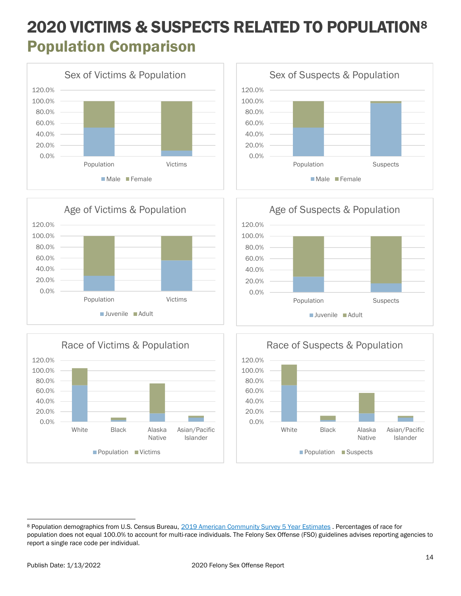## <span id="page-13-0"></span>2020 VICTIMS & SUSPECTS RELATED TO POPULATION[8](#page-13-1) Population Comparison













<span id="page-13-1"></span><sup>8</sup> Population demographics from U.S. Census Bureau, [2019 American Community Survey 5 Year Estimates](https://data.census.gov/cedsci/table?g=0400000US02&d=ACS%205-Year%20Estimates%20Data%20Profiles&tid=ACSDP5Y2019.DP05&hidePreview=true&tp=false) . Percentages of race for population does not equal 100.0% to account for multi-race individuals. The Felony Sex Offense (FSO) guidelines advises reporting agencies to report a single race code per individual.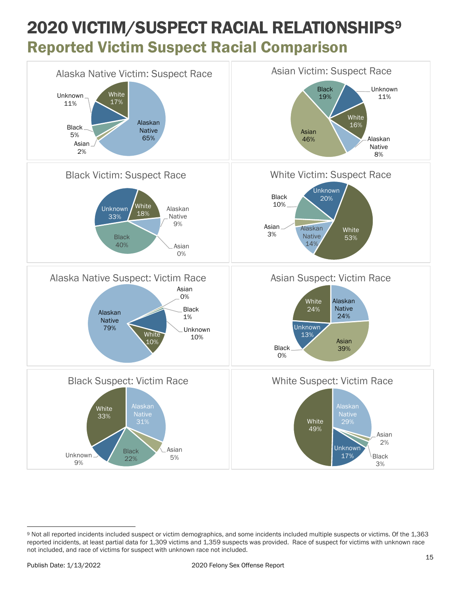### 2020 VICTIM/SUSPECT RACIAL RELATIONSHIPS[9](#page-14-1) Reported Victim Suspect Racial Comparison

<span id="page-14-0"></span>

<span id="page-14-1"></span><sup>9</sup> Not all reported incidents included suspect or victim demographics, and some incidents included multiple suspects or victims. Of the 1,363 reported incidents, at least partial data for 1,309 victims and 1,359 suspects was provided. Race of suspect for victims with unknown race not included, and race of victims for suspect with unknown race not included.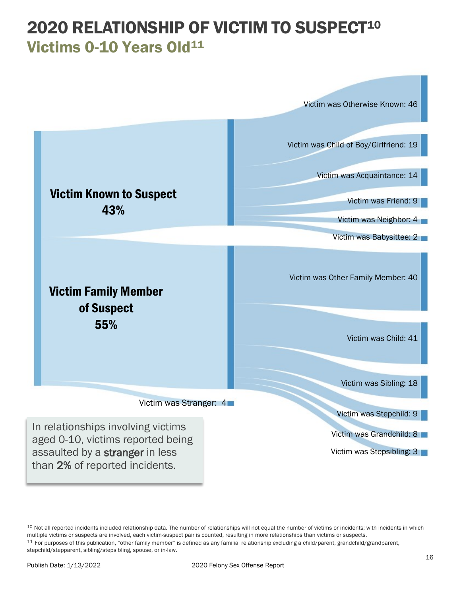### <span id="page-15-0"></span>2020 RELATIONSHIP OF VICTIM TO SUSPECT<sup>[10](#page-15-1)</sup> Victims 0-10 Years Old<sup>[11](#page-15-2)</sup>



<span id="page-15-2"></span><span id="page-15-1"></span><sup>&</sup>lt;sup>10</sup> Not all reported incidents included relationship data. The number of relationships will not equal the number of victims or incidents; with incidents in which<br>multiple victims or suspects are involved, each victim-susp <sup>11</sup> For purposes of this publication, "other family member" is defined as any familial relationship excluding a child/parent, grandchild/grandparent,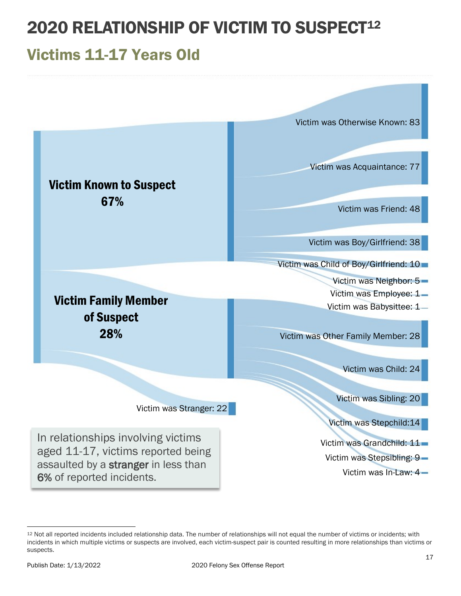# 2020 RELATIONSHIP OF VICTIM TO SUSPECT<sup>[12](#page-16-1)</sup>

### <span id="page-16-0"></span>Victims 11-17 Years Old



<span id="page-16-1"></span><sup>12</sup> Not all reported incidents included relationship data. The number of relationships will not equal the number of victims or incidents; with incidents in which multiple victims or suspects are involved, each victim-suspect pair is counted resulting in more relationships than victims or suspects.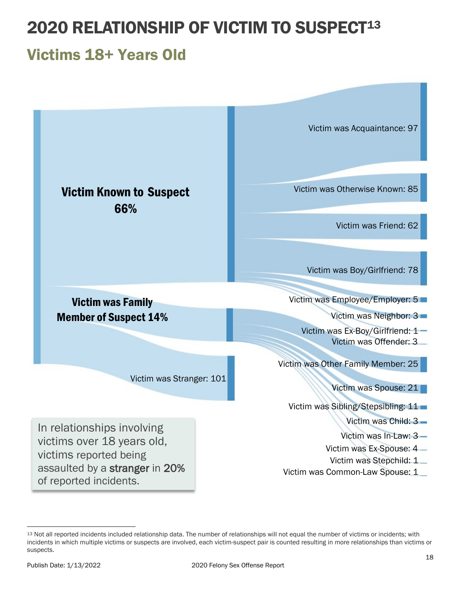# 2020 RELATIONSHIP OF VICTIM TO SUSPECT<sup>[13](#page-17-1)</sup>

### <span id="page-17-0"></span>Victims 18+ Years Old



<span id="page-17-1"></span><sup>13</sup> Not all reported incidents included relationship data. The number of relationships will not equal the number of victims or incidents; with incidents in which multiple victims or suspects are involved, each victim-suspect pair is counted resulting in more relationships than victims or suspects.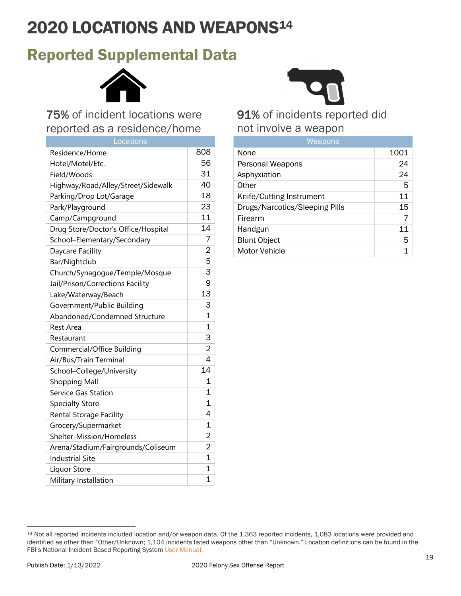# 2020 LOCATIONS AND WEAPONS[14](#page-18-1)

### <span id="page-18-0"></span>Reported Supplemental Data



### 75% of incident locations were reported as a residence/home

| <u>Lo</u> cations                   |                |
|-------------------------------------|----------------|
| Residence/Home                      | 808            |
| Hotel/Motel/Etc.                    | 56             |
| Field/Woods                         | 31             |
| Highway/Road/Alley/Street/Sidewalk  | 40             |
| Parking/Drop Lot/Garage             | 18             |
| Park/Playground                     | 23             |
| Camp/Campground                     | 11             |
| Drug Store/Doctor's Office/Hospital | 14             |
| School-Elementary/Secondary         | $\overline{7}$ |
| Daycare Facility                    | $\overline{c}$ |
| Bar/Nightclub                       | 5              |
| Church/Synagogue/Temple/Mosque      | $\overline{3}$ |
| Jail/Prison/Corrections Facility    | 9              |
| Lake/Waterway/Beach                 | 13             |
| Government/Public Building          | 3              |
| Abandoned/Condemned Structure       | $\overline{1}$ |
| <b>Rest Area</b>                    | $\overline{1}$ |
| Restaurant                          | $\overline{3}$ |
| Commercial/Office Building          | $\overline{c}$ |
| Air/Bus/Train Terminal              | 4              |
| School-College/University           | 14             |
| <b>Shopping Mall</b>                | 1              |
| Service Gas Station                 | 1              |
| <b>Specialty Store</b>              | $\overline{1}$ |
| Rental Storage Facility             | 4              |
| Grocery/Supermarket                 | $\mathbf{1}$   |
| Shelter-Mission/Homeless            | $\overline{c}$ |
| Arena/Stadium/Fairgrounds/Coliseum  | $\overline{2}$ |
| <b>Industrial Site</b>              | $\overline{1}$ |
| Liquor Store                        | $\overline{1}$ |
| Military Installation               | 1              |



91% of incidents reported did not involve a weapon

| Weapons                        |      |  |
|--------------------------------|------|--|
| None                           | 1001 |  |
| Personal Weapons               | 24   |  |
| Asphyxiation                   | 24   |  |
| Other                          | 5    |  |
| Knife/Cutting Instrument       | 11   |  |
| Drugs/Narcotics/Sleeping Pills | 15   |  |
| Firearm                        |      |  |
| Handgun                        | 11   |  |
| <b>Blunt Object</b>            | 5    |  |
| Motor Vehicle                  |      |  |

<span id="page-18-1"></span><sup>14</sup> Not all reported incidents included location and/or weapon data. Of the 1,363 reported incidents, 1,083 locations were provided and identified as other than "Other/Unknown; 1,104 incidents listed weapons other than "Unknown." Location definitions can be found in the FBI's National Incident Based Reporting System [User Manual.](https://ucr.fbi.gov/nibrs/nibrs-user-manual/view)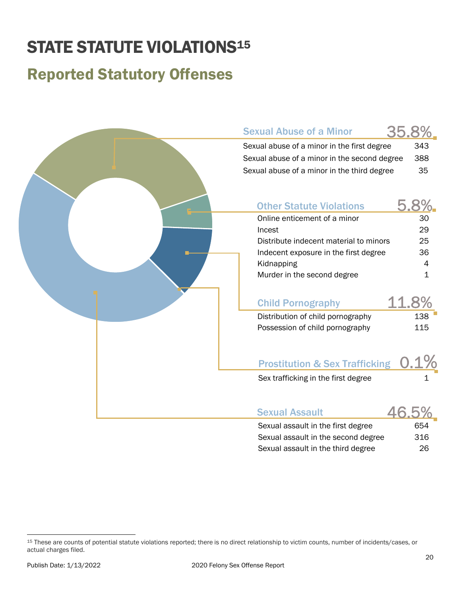# <span id="page-19-0"></span>**STATE STATUTE VIOLATIONS<sup>15</sup>**

### <span id="page-19-4"></span>Reported Statutory Offenses

| <b>Sexual Abuse of a Minor</b>                                                                                                                                                                            | 35.8%                                  |
|-----------------------------------------------------------------------------------------------------------------------------------------------------------------------------------------------------------|----------------------------------------|
| Sexual abuse of a minor in the first degree                                                                                                                                                               | 343                                    |
| Sexual abuse of a minor in the second degree                                                                                                                                                              | 388                                    |
| Sexual abuse of a minor in the third degree                                                                                                                                                               | 35                                     |
| <b>Other Statute Violations</b><br>Online enticement of a minor<br>Incest<br>Distribute indecent material to minors<br>Indecent exposure in the first degree<br>Kidnapping<br>Murder in the second degree | 5.8%<br>30<br>29<br>25<br>36<br>4<br>1 |
|                                                                                                                                                                                                           |                                        |
| <b>Child Pornography</b>                                                                                                                                                                                  | 11.8%                                  |
| Distribution of child pornography                                                                                                                                                                         | 138                                    |
| Possession of child pornography                                                                                                                                                                           | 115                                    |
| <b>Prostitution &amp; Sex Trafficking</b>                                                                                                                                                                 |                                        |
| Sex trafficking in the first degree                                                                                                                                                                       |                                        |
|                                                                                                                                                                                                           |                                        |
| <b>Sexual Assault</b>                                                                                                                                                                                     | 46.5'                                  |
| Sexual assault in the first degree                                                                                                                                                                        | 654                                    |
| Sexual assault in the second degree                                                                                                                                                                       | 316                                    |

<span id="page-19-3"></span><span id="page-19-2"></span><span id="page-19-1"></span>Sexual assault in the third degree 26

<sup>15</sup> These are counts of potential statute violations reported; there is no direct relationship to victim counts, number of incidents/cases, or actual charges filed.